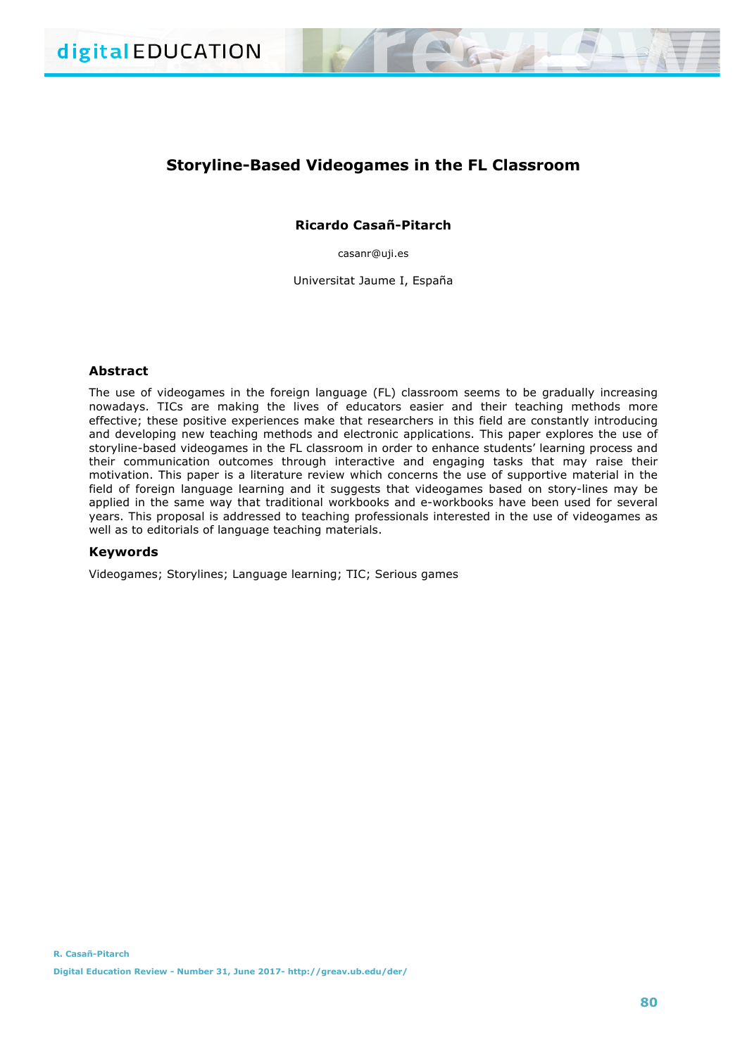# **Storyline-Based Videogames in the FL Classroom**

# **Ricardo Casañ-Pitarch**

casanr@uji.es

Universitat Jaume I, España

# **Abstract**

The use of videogames in the foreign language (FL) classroom seems to be gradually increasing nowadays. TICs are making the lives of educators easier and their teaching methods more effective; these positive experiences make that researchers in this field are constantly introducing and developing new teaching methods and electronic applications. This paper explores the use of storyline-based videogames in the FL classroom in order to enhance students' learning process and their communication outcomes through interactive and engaging tasks that may raise their motivation. This paper is a literature review which concerns the use of supportive material in the field of foreign language learning and it suggests that videogames based on story-lines may be applied in the same way that traditional workbooks and e-workbooks have been used for several years. This proposal is addressed to teaching professionals interested in the use of videogames as well as to editorials of language teaching materials.

### **Keywords**

Videogames; Storylines; Language learning; TIC; Serious games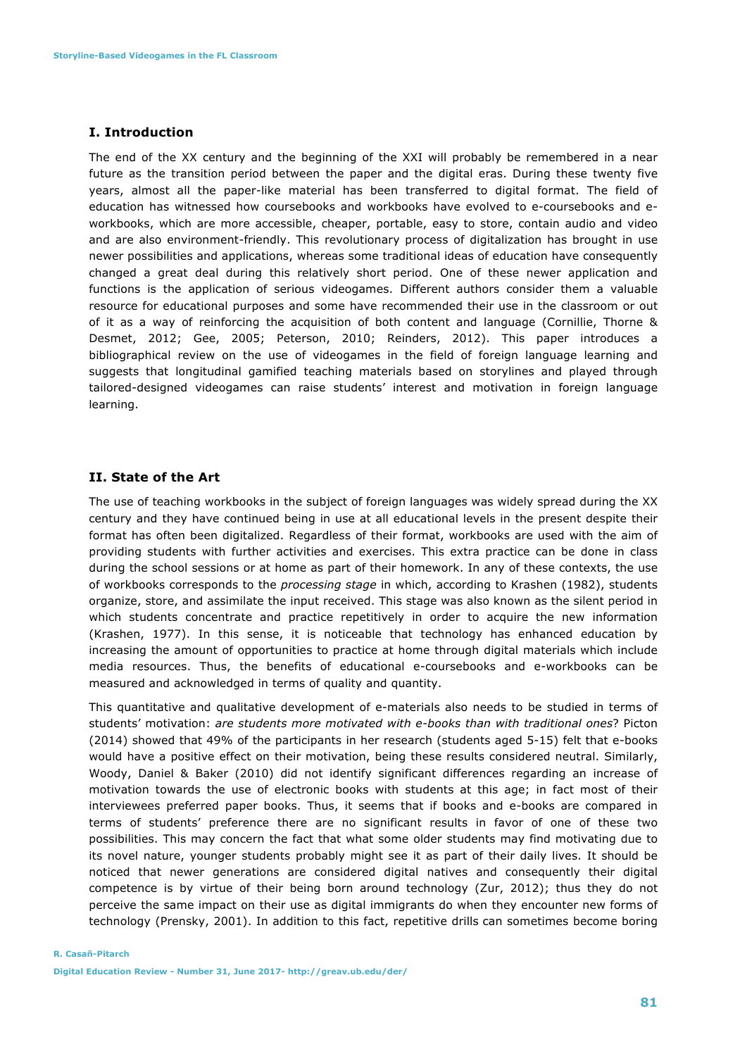### **I. Introduction**

The end of the XX century and the beginning of the XXI will probably be remembered in a near future as the transition period between the paper and the digital eras. During these twenty five years, almost all the paper-like material has been transferred to digital format. The field of education has witnessed how coursebooks and workbooks have evolved to e-coursebooks and eworkbooks, which are more accessible, cheaper, portable, easy to store, contain audio and video and are also environment-friendly. This revolutionary process of digitalization has brought in use newer possibilities and applications, whereas some traditional ideas of education have consequently changed a great deal during this relatively short period. One of these newer application and functions is the application of serious videogames. Different authors consider them a valuable resource for educational purposes and some have recommended their use in the classroom or out of it as a way of reinforcing the acquisition of both content and language (Cornillie, Thorne & Desmet, 2012; Gee, 2005; Peterson, 2010; Reinders, 2012). This paper introduces a bibliographical review on the use of videogames in the field of foreign language learning and suggests that longitudinal gamified teaching materials based on storylines and played through tailored-designed videogames can raise students' interest and motivation in foreign language learning.

#### **II. State of the Art**

The use of teaching workbooks in the subject of foreign languages was widely spread during the XX century and they have continued being in use at all educational levels in the present despite their format has often been digitalized. Regardless of their format, workbooks are used with the aim of providing students with further activities and exercises. This extra practice can be done in class during the school sessions or at home as part of their homework. In any of these contexts, the use of workbooks corresponds to the *processing stage* in which, according to Krashen (1982), students organize, store, and assimilate the input received. This stage was also known as the silent period in which students concentrate and practice repetitively in order to acquire the new information (Krashen, 1977). In this sense, it is noticeable that technology has enhanced education by increasing the amount of opportunities to practice at home through digital materials which include media resources. Thus, the benefits of educational e-coursebooks and e-workbooks can be measured and acknowledged in terms of quality and quantity.

This quantitative and qualitative development of e-materials also needs to be studied in terms of students' motivation: *are students more motivated with e-books than with traditional ones*? Picton (2014) showed that 49% of the participants in her research (students aged 5-15) felt that e-books would have a positive effect on their motivation, being these results considered neutral. Similarly, Woody, Daniel & Baker (2010) did not identify significant differences regarding an increase of motivation towards the use of electronic books with students at this age; in fact most of their interviewees preferred paper books. Thus, it seems that if books and e-books are compared in terms of students' preference there are no significant results in favor of one of these two possibilities. This may concern the fact that what some older students may find motivating due to its novel nature, younger students probably might see it as part of their daily lives. It should be noticed that newer generations are considered digital natives and consequently their digital competence is by virtue of their being born around technology (Zur, 2012); thus they do not perceive the same impact on their use as digital immigrants do when they encounter new forms of technology (Prensky, 2001). In addition to this fact, repetitive drills can sometimes become boring

**R. Casañ-Pitarch Digital Education Review - Number 31, June 2017- http://greav.ub.edu/der/**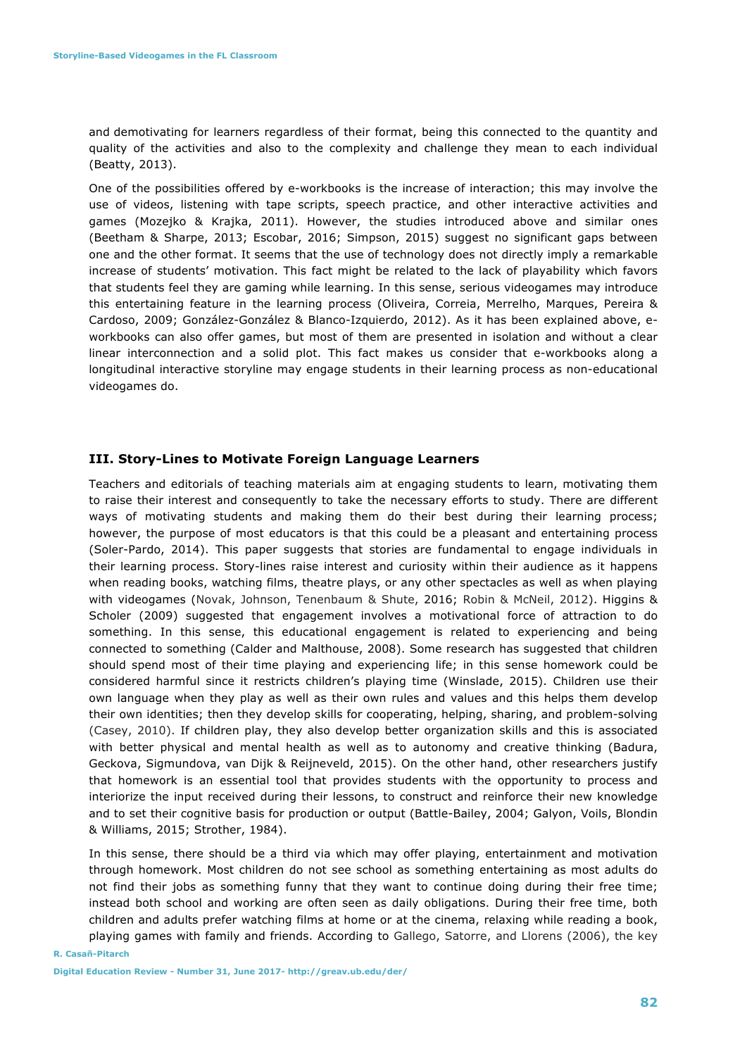and demotivating for learners regardless of their format, being this connected to the quantity and quality of the activities and also to the complexity and challenge they mean to each individual (Beatty, 2013).

One of the possibilities offered by e-workbooks is the increase of interaction; this may involve the use of videos, listening with tape scripts, speech practice, and other interactive activities and games (Mozejko & Krajka, 2011). However, the studies introduced above and similar ones (Beetham & Sharpe, 2013; Escobar, 2016; Simpson, 2015) suggest no significant gaps between one and the other format. It seems that the use of technology does not directly imply a remarkable increase of students' motivation. This fact might be related to the lack of playability which favors that students feel they are gaming while learning. In this sense, serious videogames may introduce this entertaining feature in the learning process (Oliveira, Correia, Merrelho, Marques, Pereira & Cardoso, 2009; González-González & Blanco-Izquierdo, 2012). As it has been explained above, eworkbooks can also offer games, but most of them are presented in isolation and without a clear linear interconnection and a solid plot. This fact makes us consider that e-workbooks along a longitudinal interactive storyline may engage students in their learning process as non-educational videogames do.

### **III. Story-Lines to Motivate Foreign Language Learners**

Teachers and editorials of teaching materials aim at engaging students to learn, motivating them to raise their interest and consequently to take the necessary efforts to study. There are different ways of motivating students and making them do their best during their learning process; however, the purpose of most educators is that this could be a pleasant and entertaining process (Soler-Pardo, 2014). This paper suggests that stories are fundamental to engage individuals in their learning process. Story-lines raise interest and curiosity within their audience as it happens when reading books, watching films, theatre plays, or any other spectacles as well as when playing with videogames (Novak, Johnson, Tenenbaum & Shute, 2016; Robin & McNeil, 2012). Higgins & Scholer (2009) suggested that engagement involves a motivational force of attraction to do something. In this sense, this educational engagement is related to experiencing and being connected to something (Calder and Malthouse, 2008). Some research has suggested that children should spend most of their time playing and experiencing life; in this sense homework could be considered harmful since it restricts children's playing time (Winslade, 2015). Children use their own language when they play as well as their own rules and values and this helps them develop their own identities; then they develop skills for cooperating, helping, sharing, and problem-solving (Casey, 2010). If children play, they also develop better organization skills and this is associated with better physical and mental health as well as to autonomy and creative thinking (Badura, Geckova, Sigmundova, van Dijk & Reijneveld, 2015). On the other hand, other researchers justify that homework is an essential tool that provides students with the opportunity to process and interiorize the input received during their lessons, to construct and reinforce their new knowledge and to set their cognitive basis for production or output (Battle-Bailey, 2004; Galyon, Voils, Blondin & Williams, 2015; Strother, 1984).

In this sense, there should be a third via which may offer playing, entertainment and motivation through homework. Most children do not see school as something entertaining as most adults do not find their jobs as something funny that they want to continue doing during their free time; instead both school and working are often seen as daily obligations. During their free time, both children and adults prefer watching films at home or at the cinema, relaxing while reading a book, playing games with family and friends. According to Gallego, Satorre, and Llorens (2006), the key

**Digital Education Review - Number 31, June 2017- http://greav.ub.edu/der/**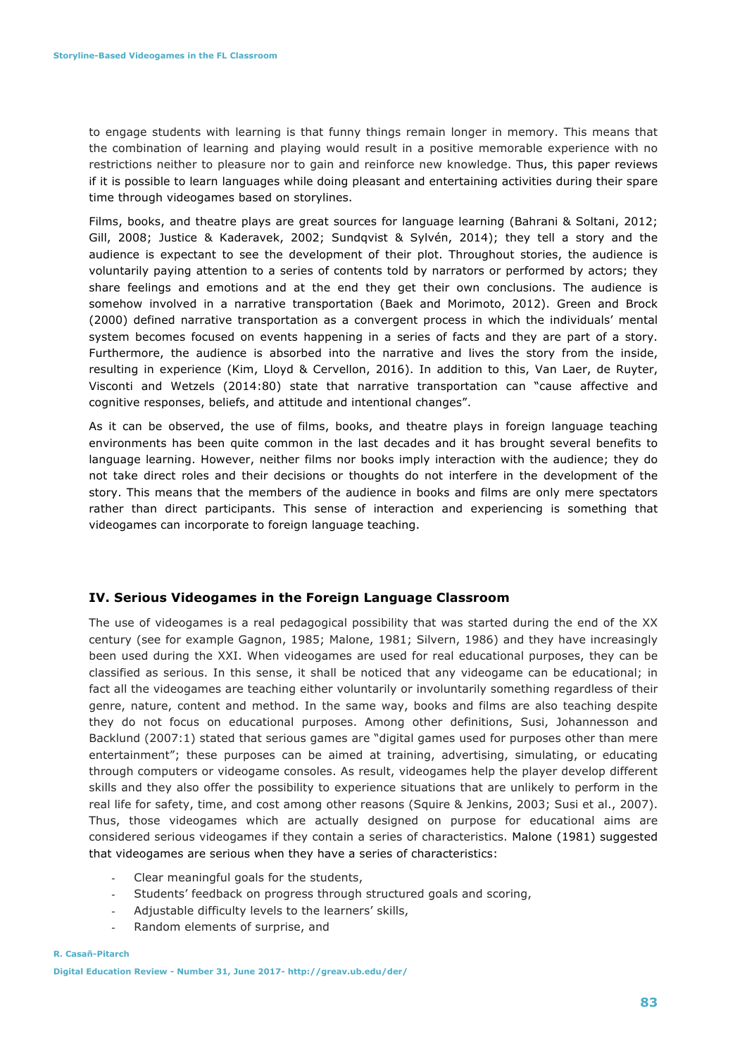to engage students with learning is that funny things remain longer in memory. This means that the combination of learning and playing would result in a positive memorable experience with no restrictions neither to pleasure nor to gain and reinforce new knowledge. Thus, this paper reviews if it is possible to learn languages while doing pleasant and entertaining activities during their spare time through videogames based on storylines.

Films, books, and theatre plays are great sources for language learning (Bahrani & Soltani, 2012; Gill, 2008; Justice & Kaderavek, 2002; Sundqvist & Sylvén, 2014); they tell a story and the audience is expectant to see the development of their plot. Throughout stories, the audience is voluntarily paying attention to a series of contents told by narrators or performed by actors; they share feelings and emotions and at the end they get their own conclusions. The audience is somehow involved in a narrative transportation (Baek and Morimoto, 2012). Green and Brock (2000) defined narrative transportation as a convergent process in which the individuals' mental system becomes focused on events happening in a series of facts and they are part of a story. Furthermore, the audience is absorbed into the narrative and lives the story from the inside, resulting in experience (Kim, Lloyd & Cervellon, 2016). In addition to this, Van Laer, de Ruyter, Visconti and Wetzels (2014:80) state that narrative transportation can "cause affective and cognitive responses, beliefs, and attitude and intentional changes".

As it can be observed, the use of films, books, and theatre plays in foreign language teaching environments has been quite common in the last decades and it has brought several benefits to language learning. However, neither films nor books imply interaction with the audience; they do not take direct roles and their decisions or thoughts do not interfere in the development of the story. This means that the members of the audience in books and films are only mere spectators rather than direct participants. This sense of interaction and experiencing is something that videogames can incorporate to foreign language teaching.

### **IV. Serious Videogames in the Foreign Language Classroom**

The use of videogames is a real pedagogical possibility that was started during the end of the XX century (see for example Gagnon, 1985; Malone, 1981; Silvern, 1986) and they have increasingly been used during the XXI. When videogames are used for real educational purposes, they can be classified as serious. In this sense, it shall be noticed that any videogame can be educational; in fact all the videogames are teaching either voluntarily or involuntarily something regardless of their genre, nature, content and method. In the same way, books and films are also teaching despite they do not focus on educational purposes. Among other definitions, Susi, Johannesson and Backlund (2007:1) stated that serious games are "digital games used for purposes other than mere entertainment"; these purposes can be aimed at training, advertising, simulating, or educating through computers or videogame consoles. As result, videogames help the player develop different skills and they also offer the possibility to experience situations that are unlikely to perform in the real life for safety, time, and cost among other reasons (Squire & Jenkins, 2003; Susi et al., 2007). Thus, those videogames which are actually designed on purpose for educational aims are considered serious videogames if they contain a series of characteristics. Malone (1981) suggested that videogames are serious when they have a series of characteristics:

- Clear meaningful goals for the students,
- Students' feedback on progress through structured goals and scoring,
- Adjustable difficulty levels to the learners' skills,
- Random elements of surprise, and

**R. Casañ-Pitarch Digital Education Review - Number 31, June 2017- http://greav.ub.edu/der/**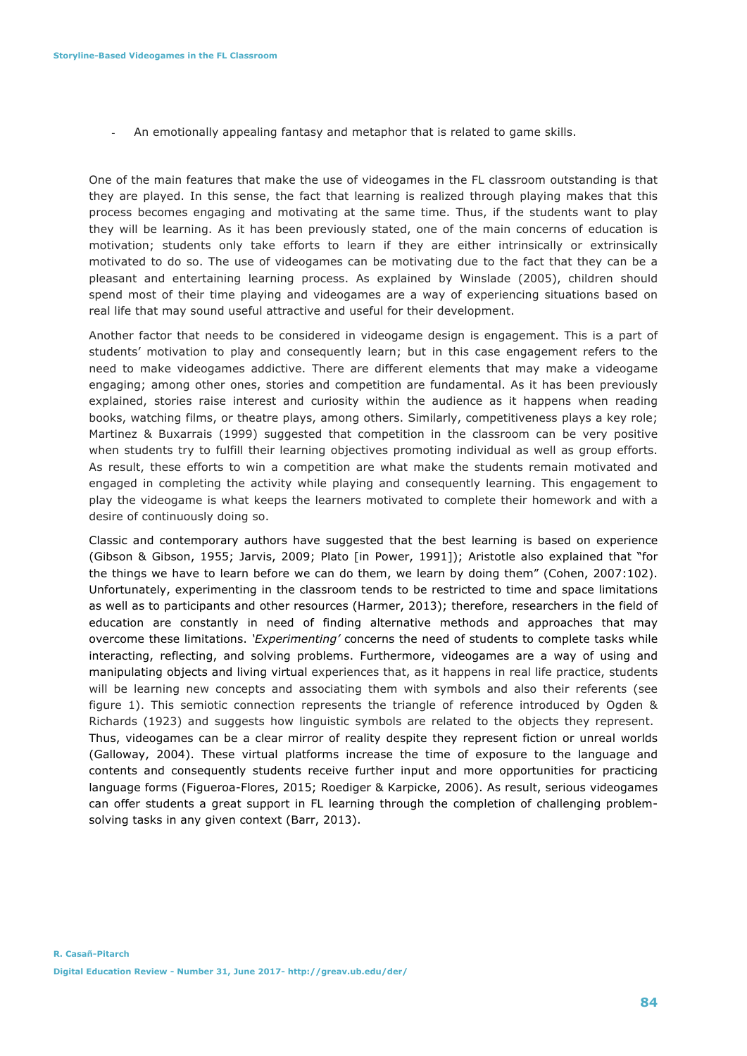- An emotionally appealing fantasy and metaphor that is related to game skills.

One of the main features that make the use of videogames in the FL classroom outstanding is that they are played. In this sense, the fact that learning is realized through playing makes that this process becomes engaging and motivating at the same time. Thus, if the students want to play they will be learning. As it has been previously stated, one of the main concerns of education is motivation; students only take efforts to learn if they are either intrinsically or extrinsically motivated to do so. The use of videogames can be motivating due to the fact that they can be a pleasant and entertaining learning process. As explained by Winslade (2005), children should spend most of their time playing and videogames are a way of experiencing situations based on real life that may sound useful attractive and useful for their development.

Another factor that needs to be considered in videogame design is engagement. This is a part of students' motivation to play and consequently learn; but in this case engagement refers to the need to make videogames addictive. There are different elements that may make a videogame engaging; among other ones, stories and competition are fundamental. As it has been previously explained, stories raise interest and curiosity within the audience as it happens when reading books, watching films, or theatre plays, among others. Similarly, competitiveness plays a key role; Martinez & Buxarrais (1999) suggested that competition in the classroom can be very positive when students try to fulfill their learning objectives promoting individual as well as group efforts. As result, these efforts to win a competition are what make the students remain motivated and engaged in completing the activity while playing and consequently learning. This engagement to play the videogame is what keeps the learners motivated to complete their homework and with a desire of continuously doing so.

Classic and contemporary authors have suggested that the best learning is based on experience (Gibson & Gibson, 1955; Jarvis, 2009; Plato [in Power, 1991]); Aristotle also explained that "for the things we have to learn before we can do them, we learn by doing them" (Cohen, 2007:102). Unfortunately, experimenting in the classroom tends to be restricted to time and space limitations as well as to participants and other resources (Harmer, 2013); therefore, researchers in the field of education are constantly in need of finding alternative methods and approaches that may overcome these limitations. *'Experimenting'* concerns the need of students to complete tasks while interacting, reflecting, and solving problems. Furthermore, videogames are a way of using and manipulating objects and living virtual experiences that, as it happens in real life practice, students will be learning new concepts and associating them with symbols and also their referents (see figure 1). This semiotic connection represents the triangle of reference introduced by Ogden & Richards (1923) and suggests how linguistic symbols are related to the objects they represent. Thus, videogames can be a clear mirror of reality despite they represent fiction or unreal worlds (Galloway, 2004). These virtual platforms increase the time of exposure to the language and contents and consequently students receive further input and more opportunities for practicing language forms (Figueroa-Flores, 2015; Roediger & Karpicke, 2006). As result, serious videogames can offer students a great support in FL learning through the completion of challenging problemsolving tasks in any given context (Barr, 2013).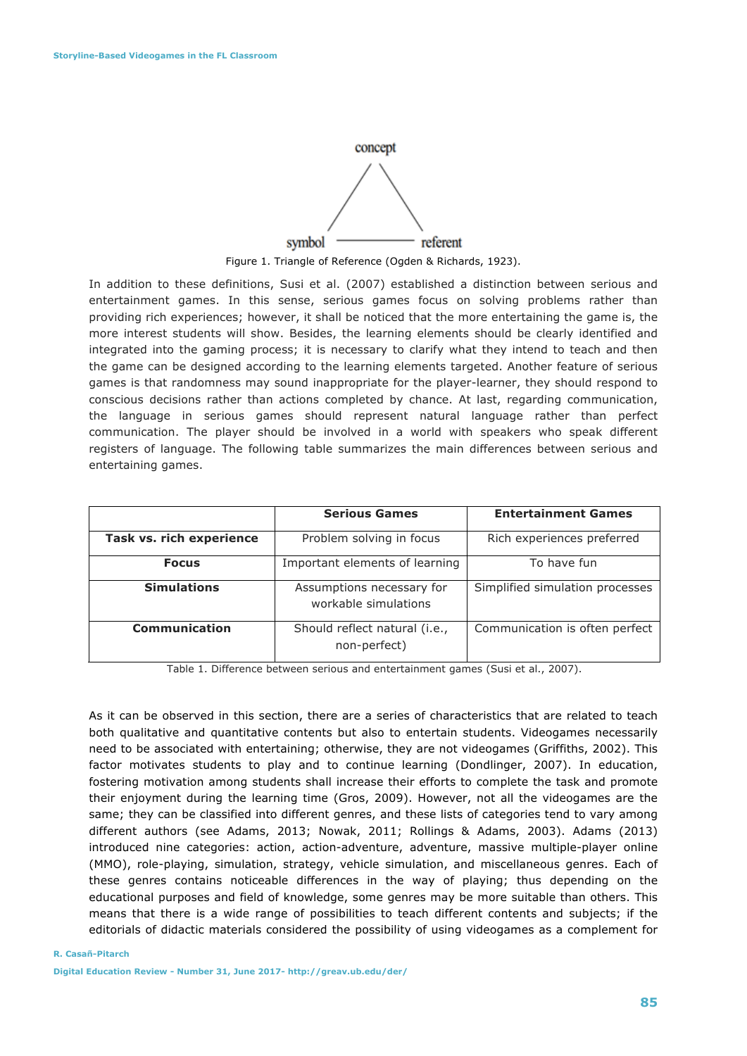

Figure 1. Triangle of Reference (Ogden & Richards, 1923).

In addition to these definitions, Susi et al. (2007) established a distinction between serious and entertainment games. In this sense, serious games focus on solving problems rather than providing rich experiences; however, it shall be noticed that the more entertaining the game is, the more interest students will show. Besides, the learning elements should be clearly identified and integrated into the gaming process; it is necessary to clarify what they intend to teach and then the game can be designed according to the learning elements targeted. Another feature of serious games is that randomness may sound inappropriate for the player-learner, they should respond to conscious decisions rather than actions completed by chance. At last, regarding communication, the language in serious games should represent natural language rather than perfect communication. The player should be involved in a world with speakers who speak different registers of language. The following table summarizes the main differences between serious and entertaining games.

|                          | <b>Serious Games</b>                              | <b>Entertainment Games</b>      |
|--------------------------|---------------------------------------------------|---------------------------------|
| Task vs. rich experience | Problem solving in focus                          | Rich experiences preferred      |
| <b>Focus</b>             | Important elements of learning                    | To have fun                     |
| <b>Simulations</b>       | Assumptions necessary for<br>workable simulations | Simplified simulation processes |
| Communication            | Should reflect natural (i.e.,<br>non-perfect)     | Communication is often perfect  |

Table 1. Difference between serious and entertainment games (Susi et al., 2007).

As it can be observed in this section, there are a series of characteristics that are related to teach both qualitative and quantitative contents but also to entertain students. Videogames necessarily need to be associated with entertaining; otherwise, they are not videogames (Griffiths, 2002). This factor motivates students to play and to continue learning (Dondlinger, 2007). In education, fostering motivation among students shall increase their efforts to complete the task and promote their enjoyment during the learning time (Gros, 2009). However, not all the videogames are the same; they can be classified into different genres, and these lists of categories tend to vary among different authors (see Adams, 2013; Nowak, 2011; Rollings & Adams, 2003). Adams (2013) introduced nine categories: action, action-adventure, adventure, massive multiple-player online (MMO), role-playing, simulation, strategy, vehicle simulation, and miscellaneous genres. Each of these genres contains noticeable differences in the way of playing; thus depending on the educational purposes and field of knowledge, some genres may be more suitable than others. This means that there is a wide range of possibilities to teach different contents and subjects; if the editorials of didactic materials considered the possibility of using videogames as a complement for

**Digital Education Review - Number 31, June 2017- http://greav.ub.edu/der/**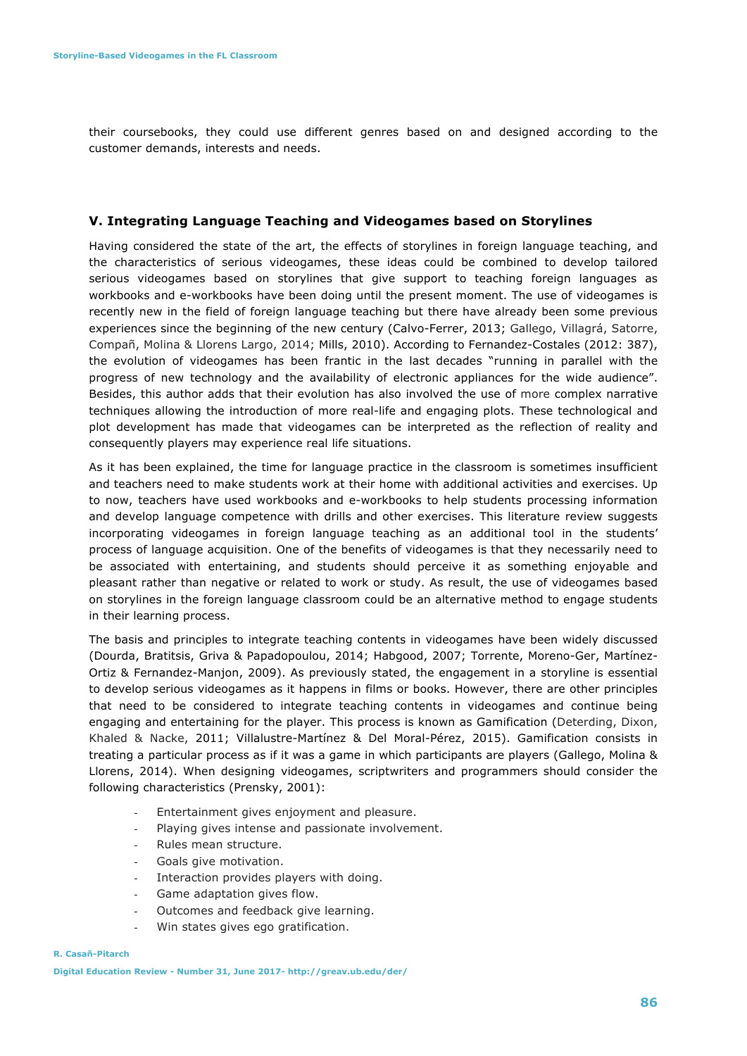their coursebooks, they could use different genres based on and designed according to the customer demands, interests and needs.

### **V. Integrating Language Teaching and Videogames based on Storylines**

Having considered the state of the art, the effects of storylines in foreign language teaching, and the characteristics of serious videogames, these ideas could be combined to develop tailored serious videogames based on storylines that give support to teaching foreign languages as workbooks and e-workbooks have been doing until the present moment. The use of videogames is recently new in the field of foreign language teaching but there have already been some previous experiences since the beginning of the new century (Calvo-Ferrer, 2013; Gallego, Villagrá, Satorre, Compañ, Molina & Llorens Largo, 2014; Mills, 2010). According to Fernandez-Costales (2012: 387), the evolution of videogames has been frantic in the last decades "running in parallel with the progress of new technology and the availability of electronic appliances for the wide audience". Besides, this author adds that their evolution has also involved the use of more complex narrative techniques allowing the introduction of more real-life and engaging plots. These technological and plot development has made that videogames can be interpreted as the reflection of reality and consequently players may experience real life situations.

As it has been explained, the time for language practice in the classroom is sometimes insufficient and teachers need to make students work at their home with additional activities and exercises. Up to now, teachers have used workbooks and e-workbooks to help students processing information and develop language competence with drills and other exercises. This literature review suggests incorporating videogames in foreign language teaching as an additional tool in the students' process of language acquisition. One of the benefits of videogames is that they necessarily need to be associated with entertaining, and students should perceive it as something enjoyable and pleasant rather than negative or related to work or study. As result, the use of videogames based on storylines in the foreign language classroom could be an alternative method to engage students in their learning process.

The basis and principles to integrate teaching contents in videogames have been widely discussed (Dourda, Bratitsis, Griva & Papadopoulou, 2014; Habgood, 2007; Torrente, Moreno-Ger, Martínez-Ortiz & Fernandez-Manjon, 2009). As previously stated, the engagement in a storyline is essential to develop serious videogames as it happens in films or books. However, there are other principles that need to be considered to integrate teaching contents in videogames and continue being engaging and entertaining for the player. This process is known as Gamification (Deterding, Dixon, Khaled & Nacke, 2011; Villalustre-Martínez & Del Moral-Pérez, 2015). Gamification consists in treating a particular process as if it was a game in which participants are players (Gallego, Molina & Llorens, 2014). When designing videogames, scriptwriters and programmers should consider the following characteristics (Prensky, 2001):

- Entertainment gives enjoyment and pleasure.
- Playing gives intense and passionate involvement.
- Rules mean structure.
- Goals give motivation.
- Interaction provides players with doing.
- Game adaptation gives flow.
- Outcomes and feedback give learning.
- Win states gives ego gratification.

#### **R. Casañ-Pitarch**

**Digital Education Review - Number 31, June 2017- http://greav.ub.edu/der/**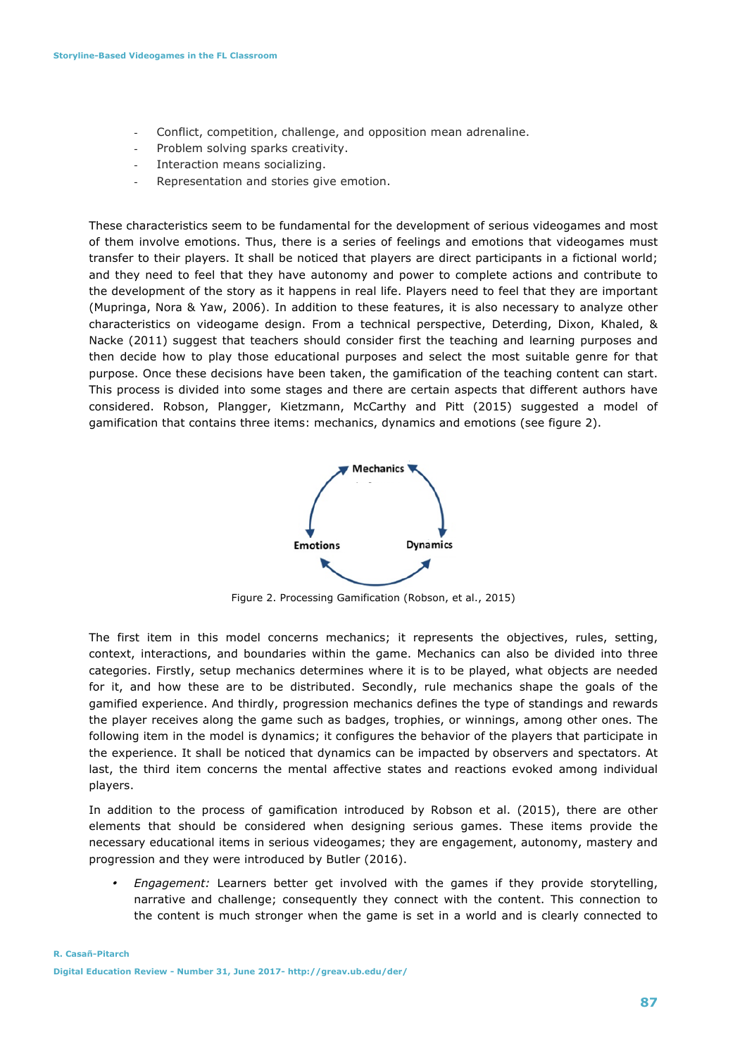- Conflict, competition, challenge, and opposition mean adrenaline.
- Problem solving sparks creativity.
- Interaction means socializing.
- Representation and stories give emotion.

These characteristics seem to be fundamental for the development of serious videogames and most of them involve emotions. Thus, there is a series of feelings and emotions that videogames must transfer to their players. It shall be noticed that players are direct participants in a fictional world; and they need to feel that they have autonomy and power to complete actions and contribute to the development of the story as it happens in real life. Players need to feel that they are important (Mupringa, Nora & Yaw, 2006). In addition to these features, it is also necessary to analyze other characteristics on videogame design. From a technical perspective, Deterding, Dixon, Khaled, & Nacke (2011) suggest that teachers should consider first the teaching and learning purposes and then decide how to play those educational purposes and select the most suitable genre for that purpose. Once these decisions have been taken, the gamification of the teaching content can start. This process is divided into some stages and there are certain aspects that different authors have considered. Robson, Plangger, Kietzmann, McCarthy and Pitt (2015) suggested a model of gamification that contains three items: mechanics, dynamics and emotions (see figure 2).



Figure 2. Processing Gamification (Robson, et al., 2015)

The first item in this model concerns mechanics; it represents the objectives, rules, setting, context, interactions, and boundaries within the game. Mechanics can also be divided into three categories. Firstly, setup mechanics determines where it is to be played, what objects are needed for it, and how these are to be distributed. Secondly, rule mechanics shape the goals of the gamified experience. And thirdly, progression mechanics defines the type of standings and rewards the player receives along the game such as badges, trophies, or winnings, among other ones. The following item in the model is dynamics; it configures the behavior of the players that participate in the experience. It shall be noticed that dynamics can be impacted by observers and spectators. At last, the third item concerns the mental affective states and reactions evoked among individual players.

In addition to the process of gamification introduced by Robson et al. (2015), there are other elements that should be considered when designing serious games. These items provide the necessary educational items in serious videogames; they are engagement, autonomy, mastery and progression and they were introduced by Butler (2016).

• *Engagement:* Learners better get involved with the games if they provide storytelling, narrative and challenge; consequently they connect with the content. This connection to the content is much stronger when the game is set in a world and is clearly connected to

**R. Casañ-Pitarch Digital Education Review - Number 31, June 2017- http://greav.ub.edu/der/**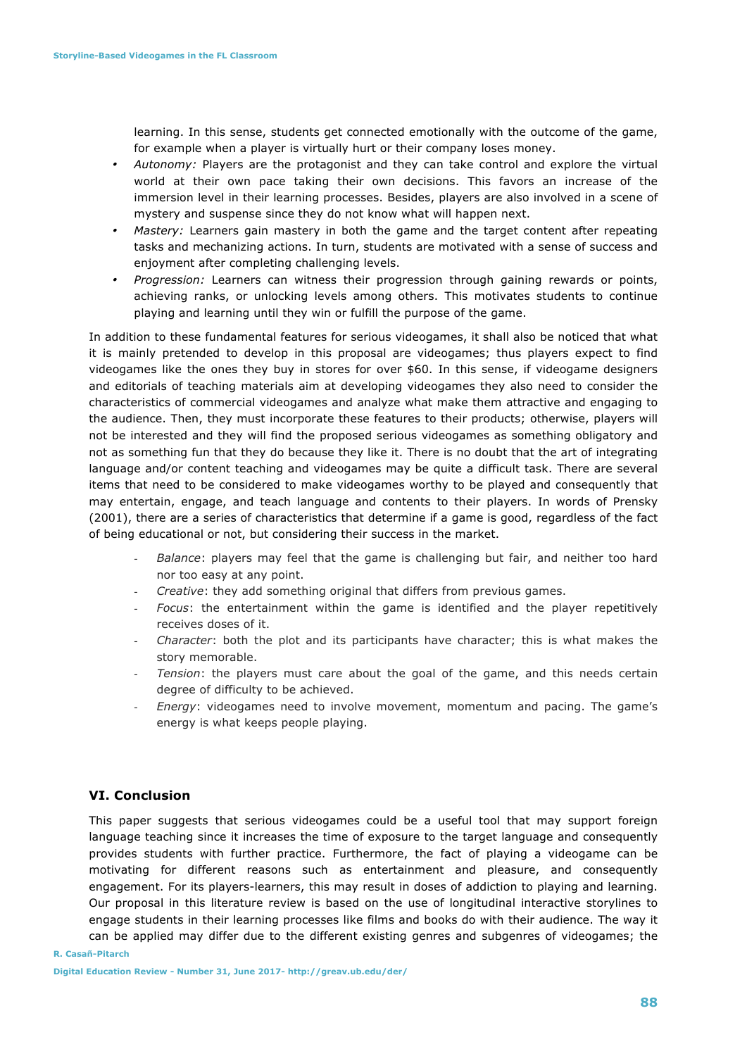learning. In this sense, students get connected emotionally with the outcome of the game, for example when a player is virtually hurt or their company loses money.

- *Autonomy:* Players are the protagonist and they can take control and explore the virtual world at their own pace taking their own decisions. This favors an increase of the immersion level in their learning processes. Besides, players are also involved in a scene of mystery and suspense since they do not know what will happen next.
- *Mastery:* Learners gain mastery in both the game and the target content after repeating tasks and mechanizing actions. In turn, students are motivated with a sense of success and enjoyment after completing challenging levels.
- • *Progression:* Learners can witness their progression through gaining rewards or points, achieving ranks, or unlocking levels among others. This motivates students to continue playing and learning until they win or fulfill the purpose of the game.

In addition to these fundamental features for serious videogames, it shall also be noticed that what it is mainly pretended to develop in this proposal are videogames; thus players expect to find videogames like the ones they buy in stores for over \$60. In this sense, if videogame designers and editorials of teaching materials aim at developing videogames they also need to consider the characteristics of commercial videogames and analyze what make them attractive and engaging to the audience. Then, they must incorporate these features to their products; otherwise, players will not be interested and they will find the proposed serious videogames as something obligatory and not as something fun that they do because they like it. There is no doubt that the art of integrating language and/or content teaching and videogames may be quite a difficult task. There are several items that need to be considered to make videogames worthy to be played and consequently that may entertain, engage, and teach language and contents to their players. In words of Prensky (2001), there are a series of characteristics that determine if a game is good, regardless of the fact of being educational or not, but considering their success in the market.

- Balance: players may feel that the game is challenging but fair, and neither too hard nor too easy at any point.
- *Creative*: they add something original that differs from previous games.
- Focus: the entertainment within the game is identified and the player repetitively receives doses of it.
- *Character*: both the plot and its participants have character; this is what makes the story memorable.
- *Tension*: the players must care about the goal of the game, and this needs certain degree of difficulty to be achieved.
- *Energy*: videogames need to involve movement, momentum and pacing. The game's energy is what keeps people playing.

# **VI. Conclusion**

This paper suggests that serious videogames could be a useful tool that may support foreign language teaching since it increases the time of exposure to the target language and consequently provides students with further practice. Furthermore, the fact of playing a videogame can be motivating for different reasons such as entertainment and pleasure, and consequently engagement. For its players-learners, this may result in doses of addiction to playing and learning. Our proposal in this literature review is based on the use of longitudinal interactive storylines to engage students in their learning processes like films and books do with their audience. The way it can be applied may differ due to the different existing genres and subgenres of videogames; the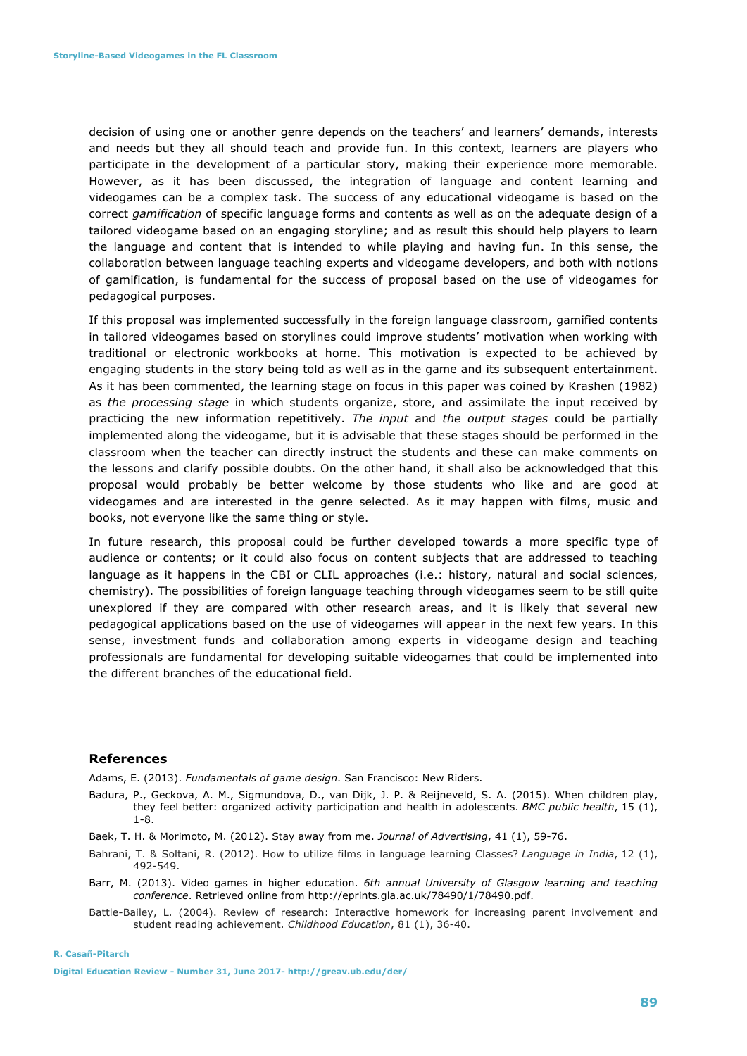decision of using one or another genre depends on the teachers' and learners' demands, interests and needs but they all should teach and provide fun. In this context, learners are players who participate in the development of a particular story, making their experience more memorable. However, as it has been discussed, the integration of language and content learning and videogames can be a complex task. The success of any educational videogame is based on the correct *gamification* of specific language forms and contents as well as on the adequate design of a tailored videogame based on an engaging storyline; and as result this should help players to learn the language and content that is intended to while playing and having fun. In this sense, the collaboration between language teaching experts and videogame developers, and both with notions of gamification, is fundamental for the success of proposal based on the use of videogames for pedagogical purposes.

If this proposal was implemented successfully in the foreign language classroom, gamified contents in tailored videogames based on storylines could improve students' motivation when working with traditional or electronic workbooks at home. This motivation is expected to be achieved by engaging students in the story being told as well as in the game and its subsequent entertainment. As it has been commented, the learning stage on focus in this paper was coined by Krashen (1982) as *the processing stage* in which students organize, store, and assimilate the input received by practicing the new information repetitively. *The input* and *the output stages* could be partially implemented along the videogame, but it is advisable that these stages should be performed in the classroom when the teacher can directly instruct the students and these can make comments on the lessons and clarify possible doubts. On the other hand, it shall also be acknowledged that this proposal would probably be better welcome by those students who like and are good at videogames and are interested in the genre selected. As it may happen with films, music and books, not everyone like the same thing or style.

In future research, this proposal could be further developed towards a more specific type of audience or contents; or it could also focus on content subjects that are addressed to teaching language as it happens in the CBI or CLIL approaches (i.e.: history, natural and social sciences, chemistry). The possibilities of foreign language teaching through videogames seem to be still quite unexplored if they are compared with other research areas, and it is likely that several new pedagogical applications based on the use of videogames will appear in the next few years. In this sense, investment funds and collaboration among experts in videogame design and teaching professionals are fundamental for developing suitable videogames that could be implemented into the different branches of the educational field.

#### **References**

Adams, E. (2013). *Fundamentals of game design*. San Francisco: New Riders.

- Badura, P., Geckova, A. M., Sigmundova, D., van Dijk, J. P. & Reijneveld, S. A. (2015). When children play, they feel better: organized activity participation and health in adolescents. *BMC public health*, 15 (1), 1-8.
- Baek, T. H. & Morimoto, M. (2012). Stay away from me. *Journal of Advertising*, 41 (1), 59-76.
- Bahrani, T. & Soltani, R. (2012). How to utilize films in language learning Classes? *Language in India*, 12 (1), 492-549.
- Barr, M. (2013). Video games in higher education. *6th annual University of Glasgow learning and teaching conference*. Retrieved online from http://eprints.gla.ac.uk/78490/1/78490.pdf.
- Battle-Bailey, L. (2004). Review of research: Interactive homework for increasing parent involvement and student reading achievement. *Childhood Education*, 81 (1), 36-40.

**R. Casañ-Pitarch**

**Digital Education Review - Number 31, June 2017- http://greav.ub.edu/der/**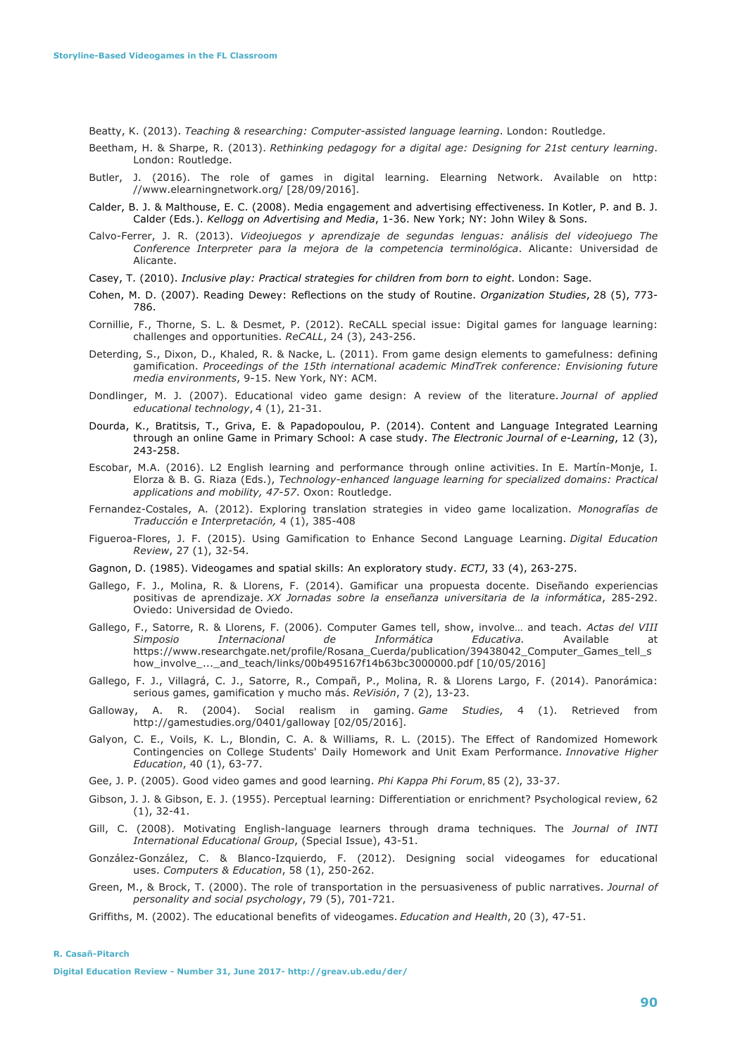Beatty, K. (2013). *Teaching & researching: Computer-assisted language learning*. London: Routledge.

- Beetham, H. & Sharpe, R. (2013). *Rethinking pedagogy for a digital age: Designing for 21st century learning*. London: Routledge.
- Butler, J. (2016). The role of games in digital learning. Elearning Network. Available on http: //www.elearningnetwork.org/ [28/09/2016].
- Calder, B. J. & Malthouse, E. C. (2008). Media engagement and advertising effectiveness. In Kotler, P. and B. J. Calder (Eds.). *Kellogg on Advertising and Media*, 1-36. New York; NY: John Wiley & Sons.
- Calvo-Ferrer, J. R. (2013). *Videojuegos y aprendizaje de segundas lenguas: análisis del videojuego The Conference Interpreter para la mejora de la competencia terminológica*. Alicante: Universidad de Alicante.
- Casey, T. (2010). *Inclusive play: Practical strategies for children from born to eight*. London: Sage.
- Cohen, M. D. (2007). Reading Dewey: Reflections on the study of Routine. *Organization Studies*, 28 (5), 773- 786.
- Cornillie, F., Thorne, S. L. & Desmet, P. (2012). ReCALL special issue: Digital games for language learning: challenges and opportunities. *ReCALL*, 24 (3), 243-256.
- Deterding, S., Dixon, D., Khaled, R. & Nacke, L. (2011). From game design elements to gamefulness: defining gamification. *Proceedings of the 15th international academic MindTrek conference: Envisioning future media environments*, 9-15. New York, NY: ACM.
- Dondlinger, M. J. (2007). Educational video game design: A review of the literature. *Journal of applied educational technology*, 4 (1), 21-31.
- Dourda, K., Bratitsis, T., Griva, E. & Papadopoulou, P. (2014). Content and Language Integrated Learning through an online Game in Primary School: A case study. *The Electronic Journal of e-Learning*, 12 (3), 243-258.
- Escobar, M.A. (2016). L2 English learning and performance through online activities. In E. Martín-Monje, I. Elorza & B. G. Riaza (Eds.), *Technology-enhanced language learning for specialized domains: Practical applications and mobility, 47-57*. Oxon: Routledge.
- Fernandez-Costales, A. (2012). Exploring translation strategies in video game localization. *Monografías de Traducción e Interpretación,* 4 (1), 385-408
- Figueroa-Flores, J. F. (2015). Using Gamification to Enhance Second Language Learning. *Digital Education Review*, 27 (1), 32-54.
- Gagnon, D. (1985). Videogames and spatial skills: An exploratory study. *ECTJ*, 33 (4), 263-275.
- Gallego, F. J., Molina, R. & Llorens, F. (2014). Gamificar una propuesta docente. Diseñando experiencias positivas de aprendizaje. *XX Jornadas sobre la enseñanza universitaria de la informática*, 285-292. Oviedo: Universidad de Oviedo.
- Gallego, F., Satorre, R. & Llorens, F. (2006). Computer Games tell, show, involve… and teach. *Actas del VIII Simposio Internacional de Informática Educativa.* Available at https://www.researchgate.net/profile/Rosana Cuerda/publication/39438042 Computer Games tell s how\_involve\_...\_and\_teach/links/00b495167f14b63bc3000000.pdf [10/05/2016]
- Gallego, F. J., Villagrá, C. J., Satorre, R., Compañ, P., Molina, R. & Llorens Largo, F. (2014). Panorámica: serious games, gamification y mucho más. *ReVisión*, 7 (2), 13-23.
- Galloway, A. R. (2004). Social realism in gaming. *Game Studies*, 4 (1). Retrieved from http://gamestudies.org/0401/galloway  $[02/05/2016]$ .
- Galyon, C. E., Voils, K. L., Blondin, C. A. & Williams, R. L. (2015). The Effect of Randomized Homework Contingencies on College Students' Daily Homework and Unit Exam Performance. *Innovative Higher Education*, 40 (1), 63-77.
- Gee, J. P. (2005). Good video games and good learning. *Phi Kappa Phi Forum*, 85 (2), 33-37.
- Gibson, J. J. & Gibson, E. J. (1955). Perceptual learning: Differentiation or enrichment? Psychological review, 62 (1), 32-41.
- Gill, C. (2008). Motivating English-language learners through drama techniques. The *Journal of INTI International Educational Group*, (Special Issue), 43-51.
- González-González, C. & Blanco-Izquierdo, F. (2012). Designing social videogames for educational uses. *Computers & Education*, 58 (1), 250-262.
- Green, M., & Brock, T. (2000). The role of transportation in the persuasiveness of public narratives. *Journal of personality and social psychology*, 79 (5), 701-721.
- Griffiths, M. (2002). The educational benefits of videogames. *Education and Health*, 20 (3), 47-51.

#### **R. Casañ-Pitarch**

**Digital Education Review - Number 31, June 2017- http://greav.ub.edu/der/**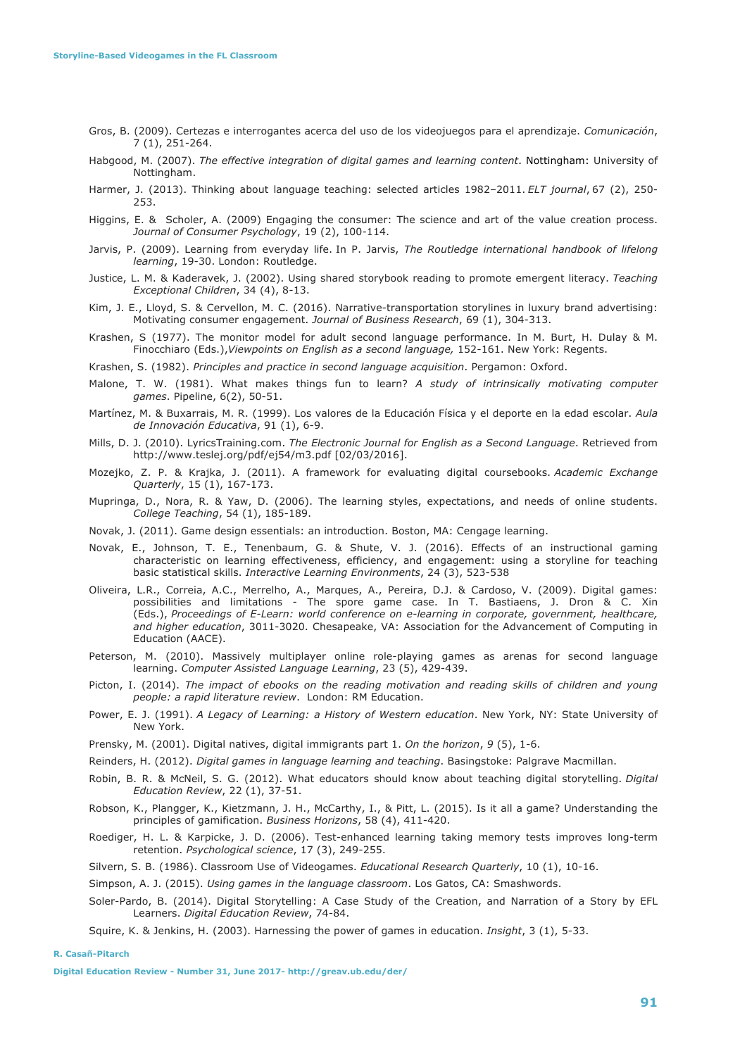- Gros, B. (2009). Certezas e interrogantes acerca del uso de los videojuegos para el aprendizaje. *Comunicación*, 7 (1), 251-264.
- Habgood, M. (2007). *The effective integration of digital games and learning content*. Nottingham: University of Nottingham.
- Harmer, J. (2013). Thinking about language teaching: selected articles 1982–2011. *ELT journal*, 67 (2), 250- 253.
- Higgins, E. & Scholer, A. (2009) Engaging the consumer: The science and art of the value creation process. *Journal of Consumer Psychology*, 19 (2), 100-114.
- Jarvis, P. (2009). Learning from everyday life. In P. Jarvis, *The Routledge international handbook of lifelong learning*, 19-30. London: Routledge.
- Justice, L. M. & Kaderavek, J. (2002). Using shared storybook reading to promote emergent literacy. *Teaching Exceptional Children*, 34 (4), 8-13.
- Kim, J. E., Lloyd, S. & Cervellon, M. C. (2016). Narrative-transportation storylines in luxury brand advertising: Motivating consumer engagement. *Journal of Business Research*, 69 (1), 304-313.
- Krashen, S (1977). The monitor model for adult second language performance. In M. Burt, H. Dulay & M. Finocchiaro (Eds.),*Viewpoints on English as a second language,* 152-161. New York: Regents.

Krashen, S. (1982). *Principles and practice in second language acquisition*. Pergamon: Oxford.

- Malone, T. W. (1981). What makes things fun to learn? *A study of intrinsically motivating computer games*. Pipeline, 6(2), 50-51.
- Martínez, M. & Buxarrais, M. R. (1999). Los valores de la Educación Física y el deporte en la edad escolar. *Aula de Innovación Educativa*, 91 (1), 6-9.
- Mills, D. J. (2010). LyricsTraining.com. *The Electronic Journal for English as a Second Language*. Retrieved from http://www.teslej.org/pdf/ej54/m3.pdf [02/03/2016].
- Mozejko, Z. P. & Krajka, J. (2011). A framework for evaluating digital coursebooks. *Academic Exchange Quarterly*, 15 (1), 167-173.
- Mupringa, D., Nora, R. & Yaw, D. (2006). The learning styles, expectations, and needs of online students. *College Teaching*, 54 (1), 185-189.
- Novak, J. (2011). Game design essentials: an introduction. Boston, MA: Cengage learning.
- Novak, E., Johnson, T. E., Tenenbaum, G. & Shute, V. J. (2016). Effects of an instructional gaming characteristic on learning effectiveness, efficiency, and engagement: using a storyline for teaching basic statistical skills. *Interactive Learning Environments*, 24 (3), 523-538
- Oliveira, L.R., Correia, A.C., Merrelho, A., Marques, A., Pereira, D.J. & Cardoso, V. (2009). Digital games: possibilities and limitations - The spore game case. In T. Bastiaens, J. Dron & C. Xin (Eds.), *Proceedings of E-Learn: world conference on e-learning in corporate, government, healthcare, and higher education*, 3011-3020. Chesapeake, VA: Association for the Advancement of Computing in Education (AACE).
- Peterson, M. (2010). Massively multiplayer online role-playing games as arenas for second language learning. *Computer Assisted Language Learning*, 23 (5), 429-439.
- Picton, I. (2014). *The impact of ebooks on the reading motivation and reading skills of children and young people: a rapid literature review*. London: RM Education.
- Power, E. J. (1991). *A Legacy of Learning: a History of Western education*. New York, NY: State University of New York.
- Prensky, M. (2001). Digital natives, digital immigrants part 1. *On the horizon*, *9* (5), 1-6.
- Reinders, H. (2012). *Digital games in language learning and teaching*. Basingstoke: Palgrave Macmillan.
- Robin, B. R. & McNeil, S. G. (2012). What educators should know about teaching digital storytelling. *Digital Education Review*, 22 (1), 37-51.
- Robson, K., Plangger, K., Kietzmann, J. H., McCarthy, I., & Pitt, L. (2015). Is it all a game? Understanding the principles of gamification. *Business Horizons*, 58 (4), 411-420.
- Roediger, H. L. & Karpicke, J. D. (2006). Test-enhanced learning taking memory tests improves long-term retention. *Psychological science*, 17 (3), 249-255.
- Silvern, S. B. (1986). Classroom Use of Videogames. *Educational Research Quarterly*, 10 (1), 10-16.
- Simpson, A. J. (2015). *Using games in the language classroom*. Los Gatos, CA: Smashwords.
- Soler-Pardo, B. (2014). Digital Storytelling: A Case Study of the Creation, and Narration of a Story by EFL Learners. *Digital Education Review*, 74-84.
- Squire, K. & Jenkins, H. (2003). Harnessing the power of games in education. *Insight*, 3 (1), 5-33.

**R. Casañ-Pitarch**

**Digital Education Review - Number 31, June 2017- http://greav.ub.edu/der/**